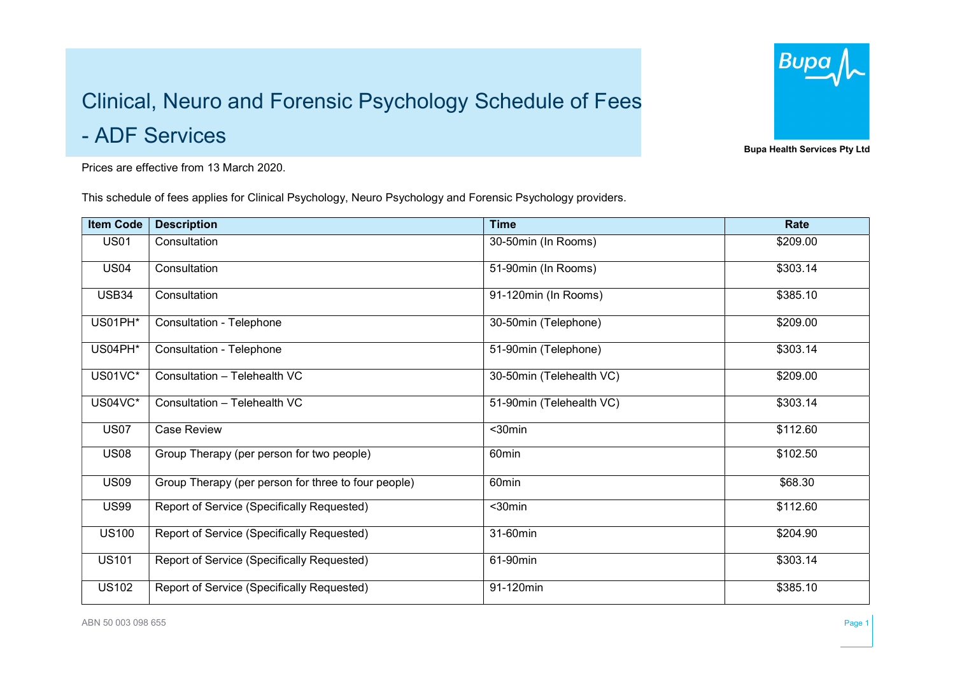## Clinical, Neuro and Forensic Psychology Schedule of Fees

- ADF Services

Prices are effective from 13 March 2020.

This schedule of fees applies for Clinical Psychology, Neuro Psychology and Forensic Psychology providers.

| <b>Item Code</b> | <b>Description</b>                                  | <b>Time</b>              | Rate     |
|------------------|-----------------------------------------------------|--------------------------|----------|
| <b>US01</b>      | Consultation                                        | 30-50min (In Rooms)      | \$209.00 |
| <b>US04</b>      | Consultation                                        | 51-90min (In Rooms)      | \$303.14 |
| USB34            | Consultation                                        | 91-120min (In Rooms)     | \$385.10 |
| US01PH*          | Consultation - Telephone                            | 30-50min (Telephone)     | \$209.00 |
| US04PH*          | Consultation - Telephone                            | 51-90min (Telephone)     | \$303.14 |
| US01VC*          | Consultation - Telehealth VC                        | 30-50min (Telehealth VC) | \$209.00 |
| US04VC*          | Consultation - Telehealth VC                        | 51-90min (Telehealth VC) | \$303.14 |
| <b>US07</b>      | Case Review                                         | $30min$                  | \$112.60 |
| <b>US08</b>      | Group Therapy (per person for two people)           | 60 <sub>min</sub>        | \$102.50 |
| <b>US09</b>      | Group Therapy (per person for three to four people) | 60min                    | \$68.30  |
| <b>US99</b>      | Report of Service (Specifically Requested)          | $30$ min                 | \$112.60 |
| <b>US100</b>     | Report of Service (Specifically Requested)          | 31-60min                 | \$204.90 |
| <b>US101</b>     | Report of Service (Specifically Requested)          | 61-90min                 | \$303.14 |
| <b>US102</b>     | Report of Service (Specifically Requested)          | 91-120min                | \$385.10 |



Bupa Health Services Pty Ltd